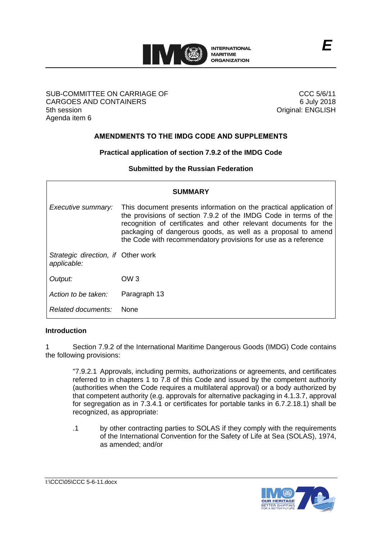

### SUB-COMMITTEE ON CARRIAGE OF CARGOES AND CONTAINERS 5th session Agenda item 6

CCC 5/6/11 6 July 2018 Original: ENGLISH

# **AMENDMENTS TO THE IMDG CODE AND SUPPLEMENTS**

## **Practical application of section 7.9.2 of the IMDG Code**

## **Submitted by the Russian Federation**

| <b>SUMMARY</b>                                    |                                                                                                                                                                                                                                                                                                                                              |
|---------------------------------------------------|----------------------------------------------------------------------------------------------------------------------------------------------------------------------------------------------------------------------------------------------------------------------------------------------------------------------------------------------|
| Executive summary:                                | This document presents information on the practical application of<br>the provisions of section 7.9.2 of the IMDG Code in terms of the<br>recognition of certificates and other relevant documents for the<br>packaging of dangerous goods, as well as a proposal to amend<br>the Code with recommendatory provisions for use as a reference |
| Strategic direction, if Other work<br>applicable: |                                                                                                                                                                                                                                                                                                                                              |
| Output:                                           | OW <sub>3</sub>                                                                                                                                                                                                                                                                                                                              |
| Action to be taken:                               | Paragraph 13                                                                                                                                                                                                                                                                                                                                 |
| Related documents:                                | <b>None</b>                                                                                                                                                                                                                                                                                                                                  |

#### **Introduction**

1 Section 7.9.2 of the International Maritime Dangerous Goods (IMDG) Code contains the following provisions:

"7.9.2.1 Approvals, including permits, authorizations or agreements, and certificates referred to in chapters 1 to 7.8 of this Code and issued by the competent authority (authorities when the Code requires a multilateral approval) or a body authorized by that competent authority (e.g. approvals for alternative packaging in 4.1.3.7, approval for segregation as in 7.3.4.1 or certificates for portable tanks in 6.7.2.18.1) shall be recognized, as appropriate:

.1 by other contracting parties to SOLAS if they comply with the requirements of the International Convention for the Safety of Life at Sea (SOLAS), 1974, as amended; and/or



I:\CCC\05\CCC 5-6-11.docx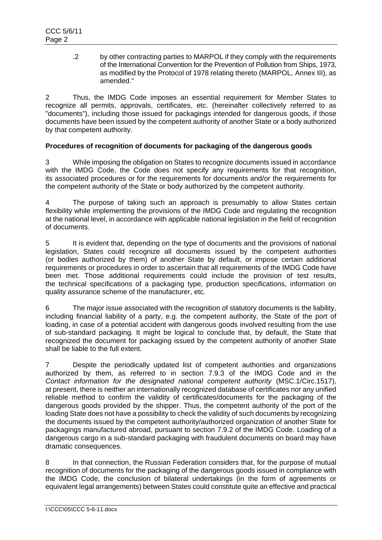.2 by other contracting parties to MARPOL if they comply with the requirements of the International Convention for the Prevention of Pollution from Ships, 1973, as modified by the Protocol of 1978 relating thereto (MARPOL, Annex III), as amended."

2 Thus, the IMDG Code imposes an essential requirement for Member States to recognize all permits, approvals, certificates, etc. (hereinafter collectively referred to as "documents"), including those issued for packagings intended for dangerous goods, if those documents have been issued by the competent authority of another State or a body authorized by that competent authority.

## **Procedures of recognition of documents for packaging of the dangerous goods**

3 While imposing the obligation on States to recognize documents issued in accordance with the IMDG Code, the Code does not specify any requirements for that recognition, its associated procedures or for the requirements for documents and/or the requirements for the competent authority of the State or body authorized by the competent authority.

4 The purpose of taking such an approach is presumably to allow States certain flexibility while implementing the provisions of the IMDG Code and regulating the recognition at the national level, in accordance with applicable national legislation in the field of recognition of documents.

5 It is evident that, depending on the type of documents and the provisions of national legislation, States could recognize all documents issued by the competent authorities (or bodies authorized by them) of another State by default, or impose certain additional requirements or procedures in order to ascertain that all requirements of the IMDG Code have been met. Those additional requirements could include the provision of test results, the technical specifications of a packaging type, production specifications, information on quality assurance scheme of the manufacturer, etc.

6 The major issue associated with the recognition of statutory documents is the liability, including financial liability of a party, e.g. the competent authority, the State of the port of loading, in case of a potential accident with dangerous goods involved resulting from the use of sub-standard packaging. It might be logical to conclude that, by default, the State that recognized the document for packaging issued by the competent authority of another State shall be liable to the full extent.

7 Despite the periodically updated list of competent authorities and organizations authorized by them, as referred to in section 7.9.3 of the IMDG Code and in the *Contact information for the designated national competent authority* (MSC.1/Circ.1517), at present, there is neither an internationally recognized database of certificates nor any unified reliable method to confirm the validity of certificates/documents for the packaging of the dangerous goods provided by the shipper. Thus, the competent authority of the port of the loading State does not have a possibility to check the validity of such documents by recognizing the documents issued by the competent authority/authorized organization of another State for packagings manufactured abroad, pursuant to section 7.9.2 of the IMDG Code. Loading of a dangerous cargo in a sub-standard packaging with fraudulent documents on board may have dramatic consequences.

8 In that connection, the Russian Federation considers that, for the purpose of mutual recognition of documents for the packaging of the dangerous goods issued in compliance with the IMDG Code, the conclusion of bilateral undertakings (in the form of agreements or equivalent legal arrangements) between States could constitute quite an effective and practical